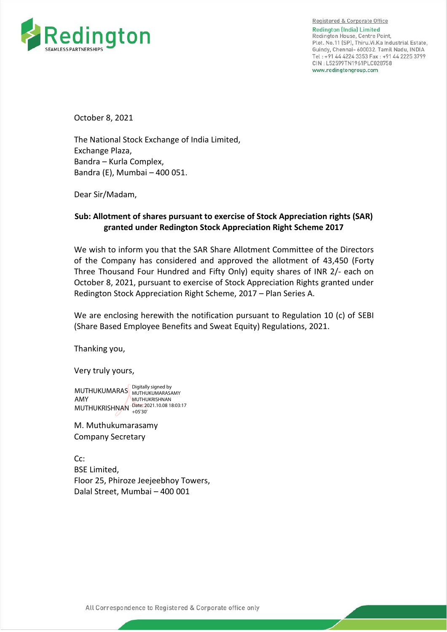

Registered & Corporate Office Redington (India) Limited Redington House, Centre Point, Plot. No.11 (SP), Thiru.Vi.Ka Industrial Estate, Guindy, Chennai- 600032. Tamil Nadu, INDIA Tel: +91 44 4224 3353 Fax: +91 44 2225 3799 CIN: L52599TN1961PLC028758 www.redingtongroup.com

October 8, 2021

The National Stock Exchange of India Limited, Exchange Plaza, Bandra – Kurla Complex, Bandra (E), Mumbai – 400 051.

Dear Sir/Madam,

## **Sub: Allotment of shares pursuant to exercise of Stock Appreciation rights (SAR) granted under Redington Stock Appreciation Right Scheme 2017**

We wish to inform you that the SAR Share Allotment Committee of the Directors of the Company has considered and approved the allotment of 43,450 (Forty Three Thousand Four Hundred and Fifty Only) equity shares of INR 2/- each on October 8, 2021, pursuant to exercise of Stock Appreciation Rights granted under Redington Stock Appreciation Right Scheme, 2017 – Plan Series A.

We are enclosing herewith the notification pursuant to Regulation 10 (c) of SEBI (Share Based Employee Benefits and Sweat Equity) Regulations, 2021.

Thanking you,

Very truly yours,

MUTHUKUMARAS Digitally signed by AMY MUTHUKRISHNAN Date: 2021.10.08 18:03:17 MUTHUKUMARASAMY MUTHUKRISHNAN +05'30'

M. Muthukumarasamy Company Secretary

Cc: BSE Limited, Floor 25, Phiroze Jeejeebhoy Towers, Dalal Street, Mumbai – 400 001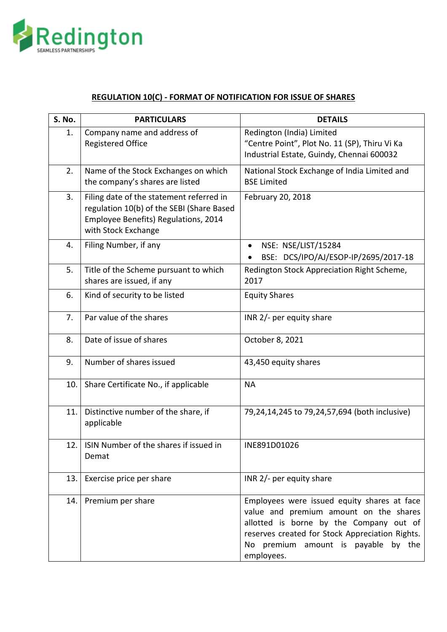

## **REGULATION 10(C) - FORMAT OF NOTIFICATION FOR ISSUE OF SHARES**

| S. No. | <b>PARTICULARS</b>                                                                                                                                   | <b>DETAILS</b>                                                                                                                                                                                                                           |
|--------|------------------------------------------------------------------------------------------------------------------------------------------------------|------------------------------------------------------------------------------------------------------------------------------------------------------------------------------------------------------------------------------------------|
| 1.     | Company name and address of<br><b>Registered Office</b>                                                                                              | Redington (India) Limited<br>"Centre Point", Plot No. 11 (SP), Thiru Vi Ka<br>Industrial Estate, Guindy, Chennai 600032                                                                                                                  |
| 2.     | Name of the Stock Exchanges on which<br>the company's shares are listed                                                                              | National Stock Exchange of India Limited and<br><b>BSE Limited</b>                                                                                                                                                                       |
| 3.     | Filing date of the statement referred in<br>regulation 10(b) of the SEBI (Share Based<br>Employee Benefits) Regulations, 2014<br>with Stock Exchange | February 20, 2018                                                                                                                                                                                                                        |
| 4.     | Filing Number, if any                                                                                                                                | NSE: NSE/LIST/15284<br>$\bullet$<br>BSE: DCS/IPO/AJ/ESOP-IP/2695/2017-18                                                                                                                                                                 |
| 5.     | Title of the Scheme pursuant to which<br>shares are issued, if any                                                                                   | Redington Stock Appreciation Right Scheme,<br>2017                                                                                                                                                                                       |
| 6.     | Kind of security to be listed                                                                                                                        | <b>Equity Shares</b>                                                                                                                                                                                                                     |
| 7.     | Par value of the shares                                                                                                                              | INR 2/- per equity share                                                                                                                                                                                                                 |
| 8.     | Date of issue of shares                                                                                                                              | October 8, 2021                                                                                                                                                                                                                          |
| 9.     | Number of shares issued                                                                                                                              | 43,450 equity shares                                                                                                                                                                                                                     |
| 10.    | Share Certificate No., if applicable                                                                                                                 | <b>NA</b>                                                                                                                                                                                                                                |
| 11.    | Distinctive number of the share, if<br>applicable                                                                                                    | 79,24,14,245 to 79,24,57,694 (both inclusive)                                                                                                                                                                                            |
| 12.    | ISIN Number of the shares if issued in<br>Demat                                                                                                      | INE891D01026                                                                                                                                                                                                                             |
| 13.    | Exercise price per share                                                                                                                             | INR 2/- per equity share                                                                                                                                                                                                                 |
| 14.    | Premium per share                                                                                                                                    | Employees were issued equity shares at face<br>value and premium amount on the shares<br>allotted is borne by the Company out of<br>reserves created for Stock Appreciation Rights.<br>No premium amount is payable by the<br>employees. |